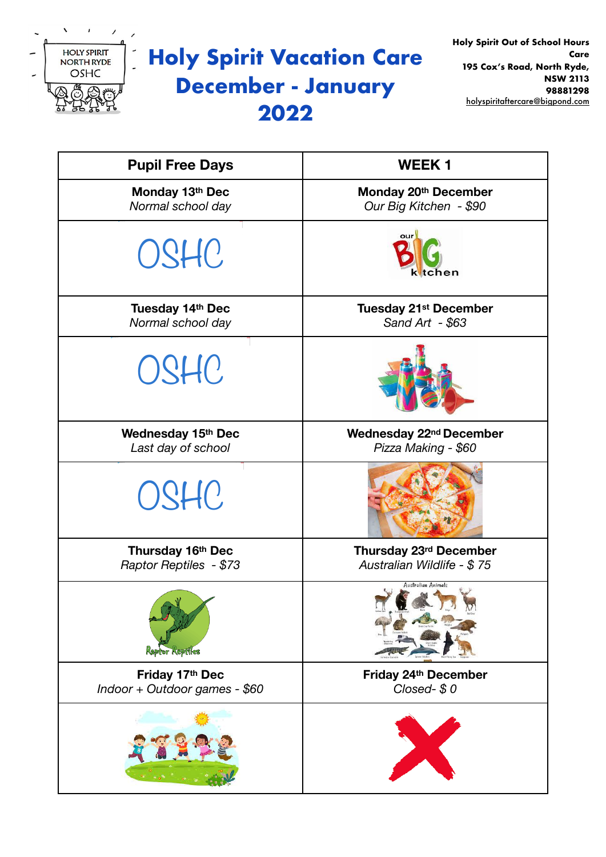

# **Holy Spirit Vacation Care December - January 2022**

| <b>Pupil Free Days</b>                           | <b>WEEK1</b>                                         |
|--------------------------------------------------|------------------------------------------------------|
| Monday 13th Dec<br>Normal school day             | Monday 20th December<br>Our Big Kitchen - \$90       |
| OSHC                                             | our<br>ktchen                                        |
| Tuesday 14th Dec<br>Normal school day            | <b>Tuesday 21st December</b><br>Sand Art - \$63      |
| OSHC                                             |                                                      |
| Wednesday 15th Dec<br>Last day of school         | Wednesday 22nd December<br>Pizza Making - \$60       |
| OSHC                                             |                                                      |
| Thursday 16th Dec<br>Raptor Reptiles - \$73      | Thursday 23rd December<br>Australian Wildlife - \$75 |
| $\mathcal{N}$<br><b>Kaptor Keptiles</b>          | Australian Animals                                   |
| Friday 17th Dec<br>Indoor + Outdoor games - \$60 | Friday 24th December<br>Closed-\$0                   |
|                                                  |                                                      |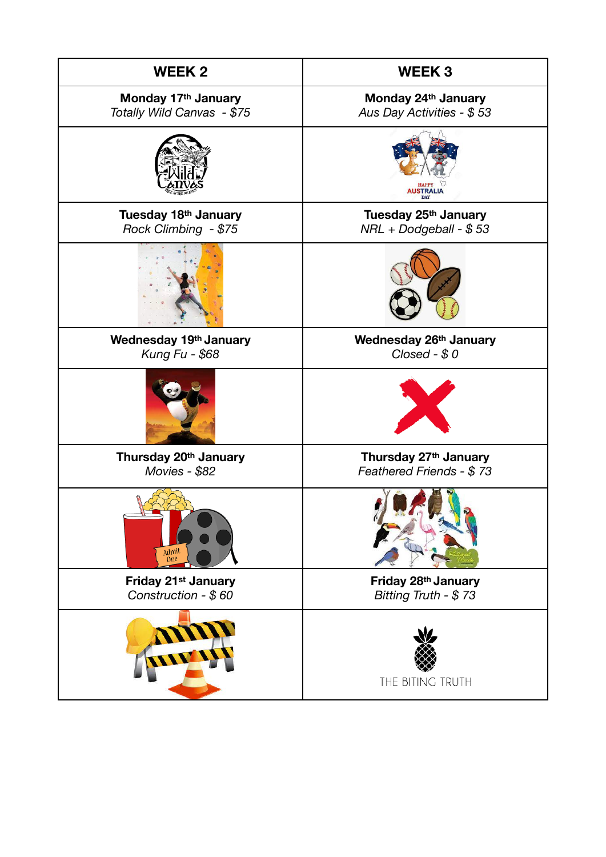| <b>WEEK 2</b>                                          | <b>WEEK3</b>                                      |
|--------------------------------------------------------|---------------------------------------------------|
| Monday 17th January<br>Totally Wild Canvas - \$75      | Monday 24th January<br>Aus Day Activities - \$53  |
|                                                        | <b>AUSTRALIA</b>                                  |
| Tuesday 18th January<br>Rock Climbing - \$75           | Tuesday 25th January<br>NRL + Dodgeball - \$53    |
|                                                        |                                                   |
| Wednesday 19th January<br>Kung Fu - \$68               | Wednesday 26th January<br>$Closed - $ 0 $         |
|                                                        |                                                   |
| Thursday 20th January<br>Movies - \$82                 | Thursday 27th January<br>Feathered Friends - \$73 |
| Admit<br>One                                           |                                                   |
| Friday 21 <sup>st</sup> January<br>Construction - \$60 | Friday 28th January<br>Bitting Truth - \$73       |
|                                                        | THE BITING TRUTH                                  |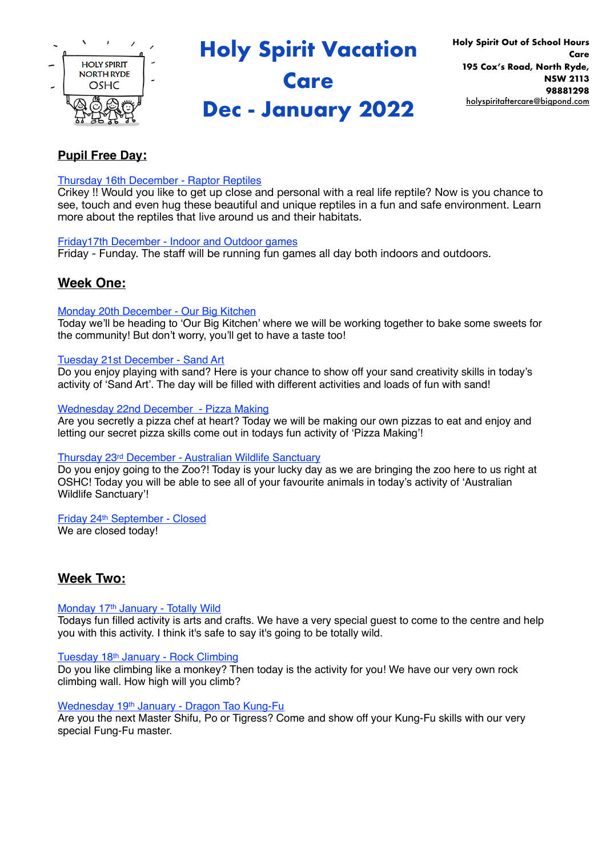

**Holy Spirit Vacation** 

## **Care**

## **Dec - January 2022**

## **Pupil Free Day:**

## Thursday 16th December - Raptor Reptiles

Crikey !! Would you like to get up close and personal with a real life reptile? Now is you chance to see, touch and even hug these beautiful and unique reptiles in a fun and safe environment. Learn more about the reptiles that live around us and their habitats.

## Friday17th December - Indoor and Outdoor games

Friday - Funday. The staff will be running fun games all day both indoors and outdoors.

## **Week One:**

## Monday 20th December - Our Big Kitchen

Today we'll be heading to 'Our Big Kitchen' where we will be working together to bake some sweets for the community! But don't worry, you'll get to have a taste too!

## Tuesday 21st December - Sand Art

Do you enjoy playing with sand? Here is your chance to show off your sand creativity skills in today's activity of 'Sand Art'. The day will be filled with different activities and loads of fun with sand!

## Wednesday 22nd December - Pizza Making

Are you secretly a pizza chef at heart? Today we will be making our own pizzas to eat and enjoy and letting our secret pizza skills come out in todays fun activity of 'Pizza Making'!

## Thursday 23rd December - Australian Wildlife Sanctuary

Do you enjoy going to the Zoo?! Today is your lucky day as we are bringing the zoo here to us right at OSHC! Today you will be able to see all of your favourite animals in today's activity of 'Australian Wildlife Sanctuary'!

## Friday 24th September - Closed

We are closed today!

## **Week Two:**

## Monday 17th January - Totally Wild

Todays fun filled activity is arts and crafts. We have a very special guest to come to the centre and help you with this activity. I think it's safe to say it's going to be totally wild.

## Tuesday 18th January - Rock Climbing

Do you like climbing like a monkey? Then today is the activity for you! We have our very own rock climbing wall. How high will you climb?

## Wednesday 19th January - Dragon Tao Kung-Fu

Are you the next Master Shifu, Po or Tigress? Come and show off your Kung-Fu skills with our very special Fung-Fu master.